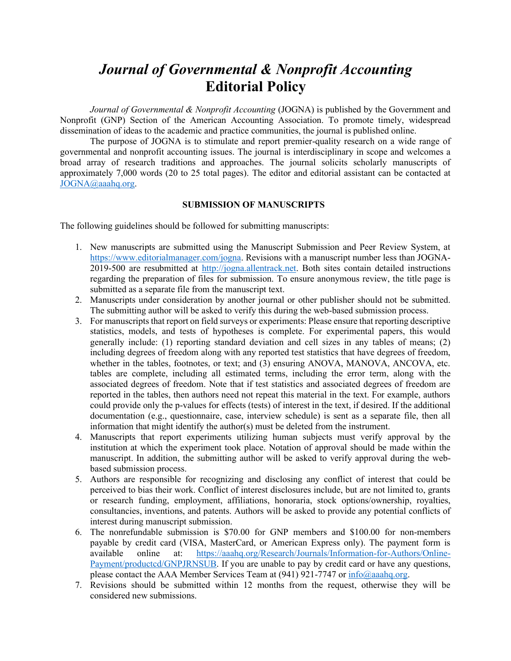## *Journal of Governmental & Nonprofit Accounting* **Editorial Policy**

*Journal of Governmental & Nonprofit Accounting (JOGNA)* is published by the Government and Nonprofit (GNP) Section of the American Accounting Association. To promote timely, widespread dissemination of ideas to the academic and practice communities, the journal is published online.

The purpose of JOGNA is to stimulate and report premier-quality research on a wide range of governmental and nonprofit accounting issues. The journal is interdisciplinary in scope and welcomes a broad array of research traditions and approaches. The journal solicits scholarly manuscripts of approximately 7,000 words (20 to 25 total pages). The editor and editorial assistant can be contacted at [JOGNA@aaahq.org.](file:///C:/Users/kathryn.armstrong/Documents/JOGNA@aaahq.org)

## **SUBMISSION OF MANUSCRIPTS**

The following guidelines should be followed for submitting manuscripts:

- 1. New manuscripts are submitted using the Manuscript Submission and Peer Review System, at [https://www.editorialmanager.com/jogna.](https://www.editorialmanager.com/jogna) Revisions with a manuscript number less than JOGNA-2019-500 are resubmitted at [http://jogna.allentrack.net.](http://jogna.allentrack.net/) Both sites contain detailed instructions regarding the preparation of files for submission. To ensure anonymous review, the title page is submitted as a separate file from the manuscript text.
- 2. Manuscripts under consideration by another journal or other publisher should not be submitted. The submitting author will be asked to verify this during the web-based submission process.
- 3. For manuscripts that report on field surveys or experiments: Please ensure that reporting descriptive statistics, models, and tests of hypotheses is complete. For experimental papers, this would generally include: (1) reporting standard deviation and cell sizes in any tables of means; (2) including degrees of freedom along with any reported test statistics that have degrees of freedom, whether in the tables, footnotes, or text; and (3) ensuring ANOVA, MANOVA, ANCOVA, etc. tables are complete, including all estimated terms, including the error term, along with the associated degrees of freedom. Note that if test statistics and associated degrees of freedom are reported in the tables, then authors need not repeat this material in the text. For example, authors could provide only the p-values for effects (tests) of interest in the text, if desired. If the additional documentation (e.g., questionnaire, case, interview schedule) is sent as a separate file, then all information that might identify the author(s) must be deleted from the instrument.
- 4. Manuscripts that report experiments utilizing human subjects must verify approval by the institution at which the experiment took place. Notation of approval should be made within the manuscript. In addition, the submitting author will be asked to verify approval during the webbased submission process.
- 5. Authors are responsible for recognizing and disclosing any conflict of interest that could be perceived to bias their work. Conflict of interest disclosures include, but are not limited to, grants or research funding, employment, affiliations, honoraria, stock options/ownership, royalties, consultancies, inventions, and patents. Authors will be asked to provide any potential conflicts of interest during manuscript submission.
- 6. The nonrefundable submission is \$70.00 for GNP members and \$100.00 for non-members payable by credit card (VISA, MasterCard, or American Express only). The payment form is available online at: [https://aaahq.org/Research/Journals/Information-for-Authors/Online-](https://aaahq.org/Research/Journals/Information-for-Authors/Online-Payment/productcd/GNPJRNSUB)[Payment/productcd/GNPJRNSUB.](https://aaahq.org/Research/Journals/Information-for-Authors/Online-Payment/productcd/GNPJRNSUB) If you are unable to pay by credit card or have any questions, please contact the AAA Member Services Team at (941) 921-7747 or [info@aaahq.org.](file:///C:/Users/kathryn.armstrong/Documents/info@aaahq.org)
- 7. Revisions should be submitted within 12 months from the request, otherwise they will be considered new submissions.